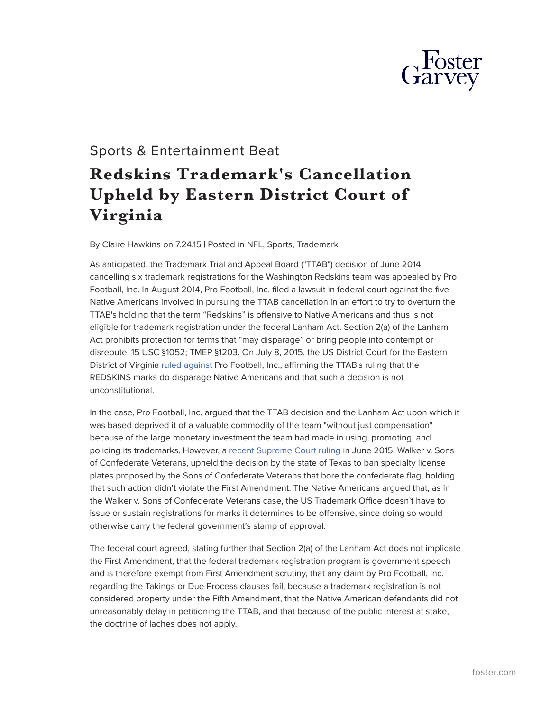

## Sports & Entertainment Beat

## **Redskins Trademark's Cancellation Upheld by Eastern District Court of Virginia**

By Claire Hawkins on 7.24.15 | Posted in NFL, Sports, Trademark

As anticipated, the Trademark Trial and Appeal Board ("TTAB") decision of June 2014 cancelling six trademark registrations for the Washington Redskins team was appealed by Pro Football, Inc. In August 2014, Pro Football, Inc. filed a lawsuit in federal court against the five Native Americans involved in pursuing the TTAB cancellation in an effort to try to overturn the TTAB's holding that the term "Redskins" is offensive to Native Americans and thus is not eligible for trademark registration under the federal Lanham Act. Section 2(a) of the Lanham Act prohibits protection for terms that "may disparage" or bring people into contempt or disrepute. 15 USC §1052; TMEP §1203. On July 8, 2015, the US District Court for the Eastern District of Virginia [ruled against P](http://pdfserver.amlaw.com/nlj/ProFootball%20Blackhorse%20opinion.pdf)ro Football, Inc., affirming the TTAB's ruling that the REDSKINS marks do disparage Native Americans and that such a decision is not unconstitutional.

In the case, Pro Football, Inc. argued that the TTAB decision and the Lanham Act upon which it was based deprived it of a valuable commodity of the team "without just compensation" because of the large monetary investment the team had made in using, promoting, and policing its trademarks. However, a [recent Supreme Court ruling i](http://www.supremecourt.gov/opinions/14pdf/14-144_758b.pdf)n June 2015, Walker v. Sons of Confederate Veterans, upheld the decision by the state of Texas to ban specialty license plates proposed by the Sons of Confederate Veterans that bore the confederate flag, holding that such action didn't violate the First Amendment. The Native Americans argued that, as in the Walker v. Sons of Confederate Veterans case, the US Trademark Office doesn't have to issue or sustain registrations for marks it determines to be offensive, since doing so would otherwise carry the federal government's stamp of approval.

The federal court agreed, stating further that Section 2(a) of the Lanham Act does not implicate the First Amendment, that the federal trademark registration program is government speech and is therefore exempt from First Amendment scrutiny, that any claim by Pro Football, Inc. regarding the Takings or Due Process clauses fail, because a trademark registration is not considered property under the Fifth Amendment, that the Native American defendants did not unreasonably delay in petitioning the TTAB, and that because of the public interest at stake, the doctrine of laches does not apply.